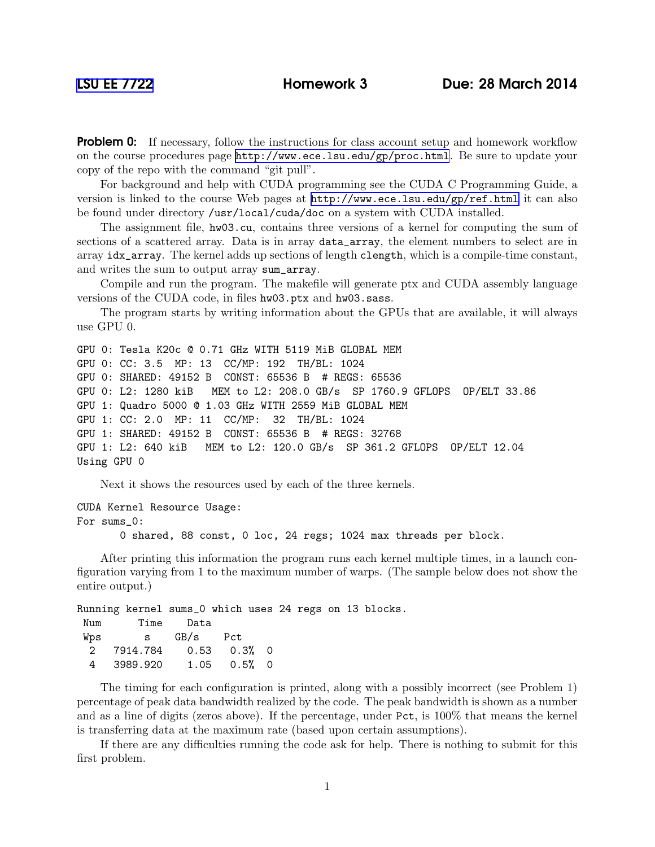**Problem 0:** If necessary, follow the instructions for class account setup and homework workflow on the course procedures page <http://www.ece.lsu.edu/gp/proc.html>. Be sure to update your copy of the repo with the command "git pull".

For background and help with CUDA programming see the CUDA C Programming Guide, a version is linked to the course Web pages at <http://www.ece.lsu.edu/gp/ref.html> it can also be found under directory /usr/local/cuda/doc on a system with CUDA installed.

The assignment file, hw03.cu, contains three versions of a kernel for computing the sum of sections of a scattered array. Data is in array data\_array, the element numbers to select are in array idx\_array. The kernel adds up sections of length clength, which is a compile-time constant, and writes the sum to output array sum\_array.

Compile and run the program. The makefile will generate ptx and CUDA assembly language versions of the CUDA code, in files hw03.ptx and hw03.sass.

The program starts by writing information about the GPUs that are available, it will always use GPU 0.

GPU 0: Tesla K20c @ 0.71 GHz WITH 5119 MiB GLOBAL MEM GPU 0: CC: 3.5 MP: 13 CC/MP: 192 TH/BL: 1024 GPU 0: SHARED: 49152 B CONST: 65536 B # REGS: 65536 GPU 0: L2: 1280 kiB MEM to L2: 208.0 GB/s SP 1760.9 GFLOPS OP/ELT 33.86 GPU 1: Quadro 5000 @ 1.03 GHz WITH 2559 MiB GLOBAL MEM GPU 1: CC: 2.0 MP: 11 CC/MP: 32 TH/BL: 1024 GPU 1: SHARED: 49152 B CONST: 65536 B # REGS: 32768 GPU 1: L2: 640 kiB MEM to L2: 120.0 GB/s SP 361.2 GFLOPS OP/ELT 12.04 Using GPU 0

Next it shows the resources used by each of the three kernels.

CUDA Kernel Resource Usage: For sums\_0:

0 shared, 88 const, 0 loc, 24 regs; 1024 max threads per block.

After printing this information the program runs each kernel multiple times, in a launch configuration varying from 1 to the maximum number of warps. (The sample below does not show the entire output.)

Running kernel sums\_0 which uses 24 regs on 13 blocks. Num Time Data Wps s GB/s Pct 2 7914.784 0.53 0.3% 0 4 3989.920 1.05 0.5% 0

The timing for each configuration is printed, along with a possibly incorrect (see Problem 1) percentage of peak data bandwidth realized by the code. The peak bandwidth is shown as a number and as a line of digits (zeros above). If the percentage, under Pct, is 100% that means the kernel is transferring data at the maximum rate (based upon certain assumptions).

If there are any difficulties running the code ask for help. There is nothing to submit for this first problem.